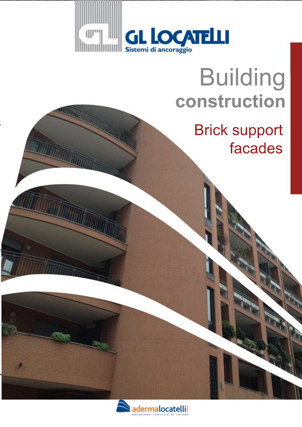

# Building **construction**

## **Brick support** facades

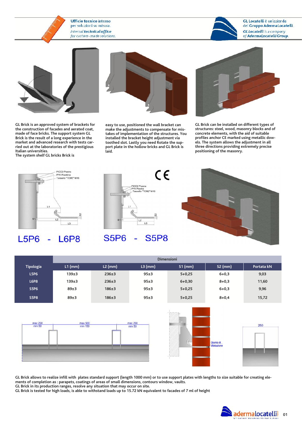#### **Ufficio tecnico interno** per soluzioni su misura. Internal technical office for custom-made solutions.



GL Locatelli è un'azienda del Gruppo AdermaLocatelli. **GL Locatelli** is a company of AdermaLocatelli Group.



GL Brick is an approved system of brackets for the construction of facades and aerated coat, made of face bricks. The support system GL Brick is the result of a long experience in the market and advanced research with tests carried out at the laboratories of the prestigious Italian universities.

The system shelf GL bricks Brick is



easy to use, positioned the wall bracket can make the adjustments to compensate for mistakes of implementation of the structures. You installed the bracket height adjustment via toothed slot. Lastly you need Rotate the support plate in the hollow bricks and GL Brick is laid.



GL Brick can be installed on different types of structures: steel, wood, masonry blocks and of concrete elements, with the aid of suitable profiles anchor CE marked using metallic dowels. The system allows the adjustment in all three directions providing extremely precise positioning of the masonry.



#### **L5P6** L6P8



#### **S5P6 S5P8**



|                  | <b>Dimensioni</b> |           |           |            |           |            |  |  |  |
|------------------|-------------------|-----------|-----------|------------|-----------|------------|--|--|--|
| <b>Tipologia</b> | $L1$ (mm)         | $L2$ (mm) | $L3$ (mm) | $S1$ (mm)  | $S2$ (mm) | Portata kN |  |  |  |
| <b>L5P6</b>      | 139±3             | 236±3     | 95±3      | $5+0,25$   | $6 + 0.3$ | 9,03       |  |  |  |
| <b>L6P8</b>      | 139±3             | 236±3     | 95±3      | $6 + 0.30$ | $8 + 0.3$ | 11,60      |  |  |  |
| <b>S5P6</b>      | 89±3              | 186±3     | 95±3      | $5+0,25$   | $6 + 0.3$ | 9,96       |  |  |  |
| <b>S5P8</b>      | 89±3              | 186±3     | 95±3      | $5 + 0,25$ | $8 + 0.4$ | 15,72      |  |  |  |







GL Brick allows to realize infill with plates standard support (length 1000 mm) or to use support plates with lengths to size suitable for creating elements of completion as : parapets, coatings of areas of small dimensions, contours window, vaults. GL Brick in its production ranges, resolve any situation that may occur on site.

GL Brick is tested for high loads, is able to withstand loads up to 15.72 kN equivalent to facades of 7 ml of height

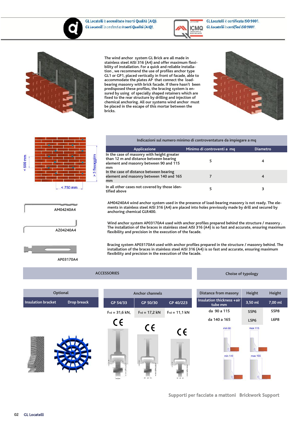



GL Locatelli è certificata ISO 9001. GL Locatelli is certified ISO 9001.



The wind anchor system GL Brick are all made in stainless steel AISI 316 (A4) and offer maximum flexibility of installation. For a quick and reliable installation , we recommend the use of profiles anchor type GL1 or GP1, placed vertically in front of facade, able to accommodate the plates AP that connect the load bearing masonry with brick facade. If there hasn't been predisposed these profiles, the bracing system is ensured by using of specially shaped retainers which are fixed to the rear structure by drilling and injection of chemical anchoring. All our systems wind anchor must be placed in the escape of this mortar between the bricks.







#### Indicazioni sul numero minimo di controventature da impiegare a mq

| Applicazione                                                                                                                         | Minimo di controventi a mq | <b>Diametro</b> |
|--------------------------------------------------------------------------------------------------------------------------------------|----------------------------|-----------------|
| In the case of masonry with height greater<br>than 12 m and distance between bearing<br>element and masonry between 90 and 115<br>mm |                            | 4               |
| In the case of distance between bearing<br>element and masonry between 140 and 165<br>mm                                             |                            | 4               |
| In all other cases not covered by those iden-<br>tified above                                                                        |                            | З               |

AM04240A4 wind anchor system used in the presence of load-bearing masonry is not ready. The elements in stainless steel AISI 316 (A4) are placed into holes previously made by drill and secured by anchoring chemical GLR400.

Wind anchor system AP03170A4 used with anchor profiles prepared behind the structure / masonry . The installation of the braces in stainless steel AISI 316 (A4) is so fast and accurate, ensuring maximum flexibility and precision in the execution of the facade.

Bracing system AP03170A4 used with anchor profiles prepared in the structure / masonry behind. The installation of the braces in stainless steel AISI 316 (A4) is so fast and accurate, ensuring maximum flexibility and precision in the execution of the facade.

AP03170A4

**ACCESSORIES** 

#### Choise of typology

| Optional                          | <b>Anchor channels</b> |                 |                 | <b>Distance from masony</b>          | Height      | Height  |
|-----------------------------------|------------------------|-----------------|-----------------|--------------------------------------|-------------|---------|
| Insulation bracket<br>Drop breack | GP 54/33               | GP 50/30        | GP 40/223       | Insulation thickness +air<br>tube mm | 3,50 ml     | 7,00 ml |
|                                   | $Frd = 31,6 kN,$       | $Frd = 17,2 kN$ | $Frd = 11,1 kN$ | da 90 a 115                          | S5P6        | S5P8    |
|                                   | CE                     |                 |                 | da 140 a 165                         | <b>L5P6</b> | L6P8    |
|                                   |                        | CE              | C€              | $min$ 90                             | max 115     |         |
|                                   |                        |                 |                 |                                      |             |         |
|                                   |                        |                 |                 |                                      |             |         |
|                                   |                        |                 |                 | min 140                              | max 165     |         |
|                                   |                        |                 |                 |                                      |             |         |
|                                   |                        |                 |                 |                                      |             |         |

**Supporti per facciate a mattoni Brickwork Support**